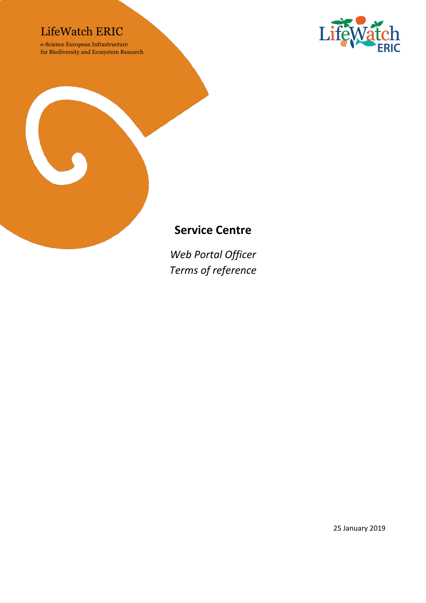### LifeWatch ERIC

e-Science European Infrastructure for Biodiversity and Ecosystem Research





## **Service Centre**

*Web Portal Officer Terms of reference*

25 January 2019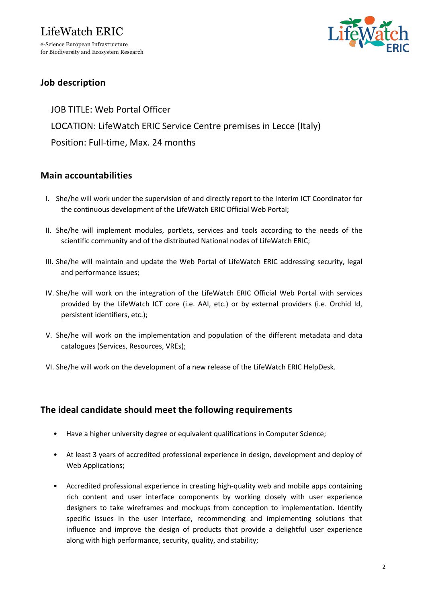for Biodiversity and Ecosystem Research



#### **Job description**

JOB TITLE: Web Portal Officer LOCATION: LifeWatch ERIC Service Centre premises in Lecce (Italy) Position: Full-time, Max. 24 months

#### **Main accountabilities**

- I. She/he will work under the supervision of and directly report to the Interim ICT Coordinator for the continuous development of the LifeWatch ERIC Official Web Portal;
- II. She/he will implement modules, portlets, services and tools according to the needs of the scientific community and of the distributed National nodes of LifeWatch ERIC;
- III. She/he will maintain and update the Web Portal of LifeWatch ERIC addressing security, legal and performance issues;
- IV. She/he will work on the integration of the LifeWatch ERIC Official Web Portal with services provided by the LifeWatch ICT core (i.e. AAI, etc.) or by external providers (i.e. Orchid Id, persistent identifiers, etc.);
- V. She/he will work on the implementation and population of the different metadata and data catalogues (Services, Resources, VREs);
- VI. She/he will work on the development of a new release of the LifeWatch ERIC HelpDesk.

#### **The ideal candidate should meet the following requirements**

- Have a higher university degree or equivalent qualifications in Computer Science;
- At least 3 years of accredited professional experience in design, development and deploy of Web Applications;
- Accredited professional experience in creating high-quality web and mobile apps containing rich content and user interface components by working closely with user experience designers to take wireframes and mockups from conception to implementation. Identify specific issues in the user interface, recommending and implementing solutions that influence and improve the design of products that provide a delightful user experience along with high performance, security, quality, and stability;